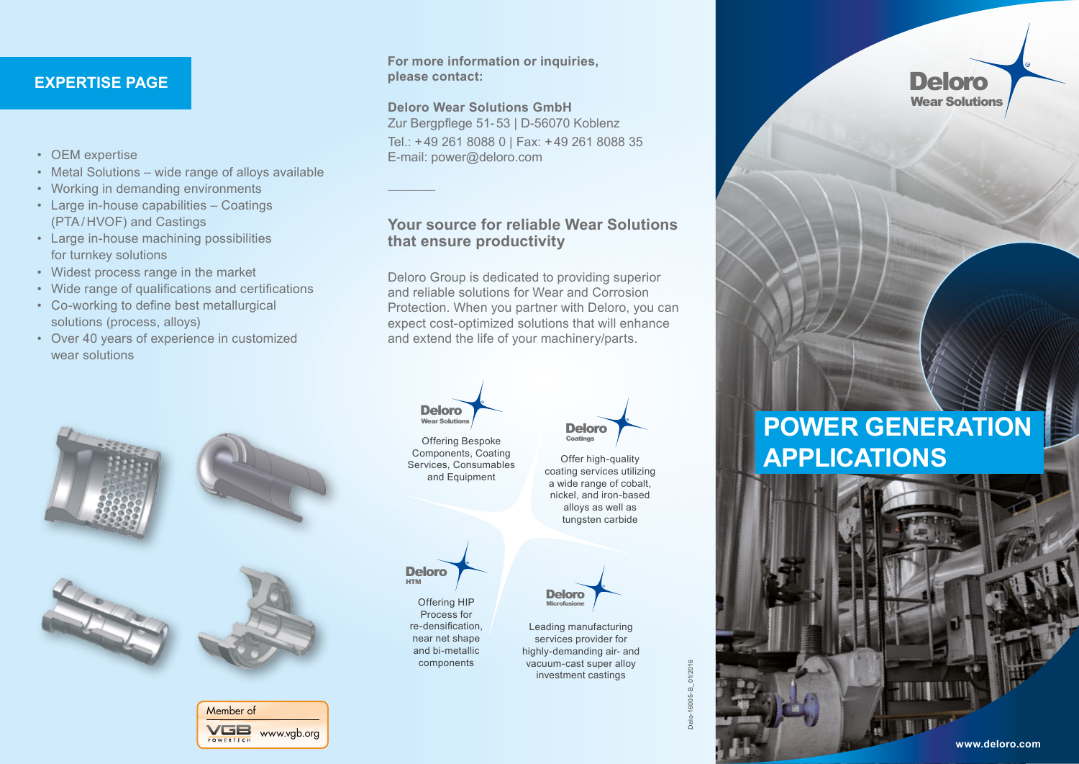#### **EXPERTISE PAGE**

- OEM expertise
- Metal Solutions wide range of alloys available
- Working in demanding environments
- Large in-house capabilities Coatings (PTA/HVOF) and Castings
- Large in-house machining possibilities for turnkey solutions
- Widest process range in the market
- Wide range of qualifications and certifications
- Co-working to define best metallurgical solutions (process, alloys)
- Over 40 years of experience in customized wear solutions



Member of VGB www.vgb.org POWERTECH

#### **For more information or inquiries, please contact:**

**Deloro Wear Solutions GmbH** Zur Bergpflege 51-53 | D-56070 Koblenz Tel.: +49 261 8088 0 | Fax: +49 261 8088 35 E-mail: power@deloro.com

#### **Your source for reliable Wear Solutions that ensure productivity**

Deloro Group is dedicated to providing superior and reliable solutions for Wear and Corrosion Protection. When you partner with Deloro, you can expect cost-optimized solutions that will enhance and extend the life of your machinery/parts.



**POWER GENERATION APPLICATIONS**

Delo-16005-B\_01/2016B\_01/20